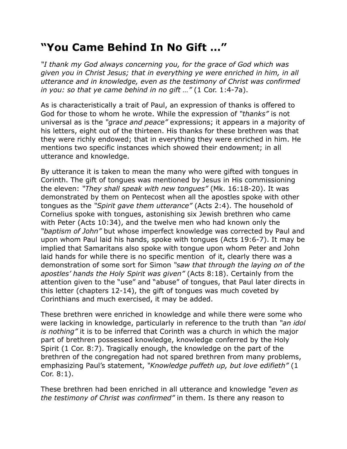## **"You Came Behind In No Gift …"**

*"I thank my God always concerning you, for the grace of God which was given you in Christ Jesus; that in everything ye were enriched in him, in all utterance and in knowledge, even as the testimony of Christ was confirmed in you: so that ye came behind in no gift …"* (1 Cor. 1:4-7a).

As is characteristically a trait of Paul, an expression of thanks is offered to God for those to whom he wrote. While the expression of *"thanks"* is not universal as is the *"grace and peace"* expressions; it appears in a majority of his letters, eight out of the thirteen. His thanks for these brethren was that they were richly endowed; that in everything they were enriched in him. He mentions two specific instances which showed their endowment; in all utterance and knowledge.

By utterance it is taken to mean the many who were gifted with tongues in Corinth. The gift of tongues was mentioned by Jesus in His commissioning the eleven: *"They shall speak with new tongues"* (Mk. 16:18-20). It was demonstrated by them on Pentecost when all the apostles spoke with other tongues as the *"Spirit gave them utterance"* (Acts 2:4). The household of Cornelius spoke with tongues, astonishing six Jewish brethren who came with Peter (Acts 10:34), and the twelve men who had known only the *"baptism of John"* but whose imperfect knowledge was corrected by Paul and upon whom Paul laid his hands, spoke with tongues (Acts 19:6-7). It may be implied that Samaritans also spoke with tongue upon whom Peter and John laid hands for while there is no specific mention of it, clearly there was a demonstration of some sort for Simon *"saw that through the laying on of the apostles' hands the Holy Spirit was given"* (Acts 8:18). Certainly from the attention given to the "use" and "abuse" of tongues, that Paul later directs in this letter (chapters 12-14), the gift of tongues was much coveted by Corinthians and much exercised, it may be added.

These brethren were enriched in knowledge and while there were some who were lacking in knowledge, particularly in reference to the truth than *"an idol is nothing"* it is to be inferred that Corinth was a church in which the major part of brethren possessed knowledge, knowledge conferred by the Holy Spirit (1 Cor. 8:7). Tragically enough, the knowledge on the part of the brethren of the congregation had not spared brethren from many problems, emphasizing Paul's statement, *"Knowledge puffeth up, but love edifieth"* (1 Cor. 8:1).

These brethren had been enriched in all utterance and knowledge *"even as the testimony of Christ was confirmed"* in them. Is there any reason to